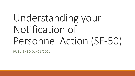# Understanding your Notification of Personnel Action (SF-50)

PUBLISHED 01/01/2021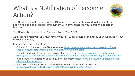# What is a Notification of Personnel Action?



The Notification of Personnel Action (NPA) is the documentation used to document the beginning and end of federal employment with any changes to your personnel record in between.

The NPA is also referred to as Standard Form 50 or SF-50.

As a federal employee, you must review your SF-50 for accuracy and notify your supervisor/HRO of concerns timely.

Primary References for SF-50s

- Guide to Data Standards on OPM's website at: https://www.opm.gov/policy-data-oversight/data[analysis-documentation/data-policy-guidance/#url=Data-Standards](https://www.opm.gov/policy-data-oversight/data-analysis-documentation/data-policy-guidance/#url=Data-Standards)
- Guide to Processing Personnel Actions on OPM's website at: https://www.opm.gov/policy-data[oversight/data-analysis-documentation/personnel-documentation/#url=Processing-Personnel-Actions](https://www.opm.gov/policy-data-oversight/data-analysis-documentation/personnel-documentation/#url=Processing-Personnel-Actions)
- [Indian Educators Federation Contract \(Union Agreement https://www.bie.edu/topic-page/employee](https://www.bie.edu/topic-page/employee-labor-relations-programs)labor-relations-programs
- Bureau of Indian Affairs Manual (BIAM) 62 on Bureau of Indian Affairs website: <https://www.bia.gov/sites/bia.gov/files/assets/public/pdf/idc-000470.pdf>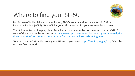

# Where to find your SF-50

For Bureau of Indian Education employees, SF-50s are maintained in electronic Official Personnel Folders (eOPF). Your eOPF is your official record for your entire federal career.

The Guide to Record Keeping identifies what is mandated to be documented in your eOPF. A [copy of the guide can be located at: https://www.opm.gov/policy-data-oversight/data-analysis](https://www.opm.gov/policy-data-oversight/data-analysis-documentation/personnel-documentation/#url=Personnel-Recordkeeping-GPR)documentation/personnel-documentation/#url=Personnel-Recordkeeping-GPR

To access your eOPF while serving as a BIE employee go to: <https://eopf.opm.gov/doi/> (Must be on a BIA/BIE network)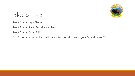

### Blocks 1 - 3

Block 1: Your Legal Name

Block 2: Your Social Security Number

Block 3: Your Date of Birth

\*\*\*Errors with these blocks will have affects on all areas of your federal career\*\*\*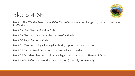

## Blocks 4-6E

Block 4: The Effective Date of the SF-50. This reflects when the change to your personnel record is effective.

Block 5A: First Nature of Action Code

Block 5B: Text describing what the Nature of Action is

Block 5C: Legal Authority Code

Block 5D: Text describing what legal authority supports Nature of Action

Block 5E: Second Legal Authority Code (Normally not needed)

Block 5F: Text describing what additional legal authority supports Nature of Action

Block 6A-6F: Reflects a second Nature of Action (Normally not needed)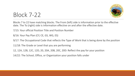

# Block 7-22

Blocks 7 to 22 have matching blocks. The From (left) side is information prior to the effective date. The To (right) side is information effective on and after the effective date.

7/15: Your official Position Title and Position Number

8/16: Your Pay Plan (CY, CE, GS, WG, ES)

9/17: The Occupational Code that reflects the Type of Work that is being done by the position

11/18: The Grade or Level that you are performing

12, 12A, 12B, 12C, 12D, 20, 20A, 20B, 20C, 20D: Reflect the pay for your position

14/22: The School, Office, or Organization your position falls under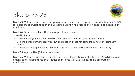

# Blocks 23-26

Block 23: Veterans Preference for appointment. This is used by positions under Title 5 (GS/WG) for positions recruited though the Delegated Examining process. Still needs to be accurate on employees.

Block 24: Tenure is reflects the type of position you are in.

- 0 No Status
- 1 Permanent (No probation, No NTE Date, Completed 3 Years of Permanent Service)
- 2 Conditional (Permanent service, but on probation or has not completed 3 Years of Permanent Service
- 3 Indefinite (On appointment with NTE Date, but has been in service for more than a year)

Block 25: Agency Use (BIE does not use)

Block 26: Veterans Preference for RIF. This is used by positions under Title 5 (GS/WG) when an organization is going through a Reduction in Force (RIF). Still Needs to be accurate on employees.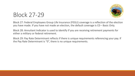

## Block 27-29

Block 27: Federal Employees Group Life Insurance (FEGLI) coverage is a reflection of the election you have made. If you have not made an election, the default coverage is C0 – Basic Only.

Block 28: Annuitant Indicator is used to identify if you are receiving retirement payments for either a military or federal retirement.

Block 29: Pay Rate Determinant reflects if there is unique requirements referencing your pay. If the Pay Rate Determinant is "0", there is no unique requirements.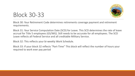

# Block 30-33

Block 30: Your Retirement Code determines retirements coverage payment and retirement requirements.

Block 31: Your Service Computation Date (SCD) for Leave. This SCD determines the rate of leave accrual for Title 5 employees (GS/WG). Still needs to be accurate for all employees. The SCD Leave reflects all Federal Service and all creditable Military Service.

Block 32: This reflects your bi-weekly Work Schedule.

Block 33: If your block 32 reflects "Part-Time" This block will reflect the number of hours your required to work ever pay period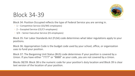

#### Block 34-39

Block 34: Position Occupied reflects the type of Federal Service you are serving in.

- 1 Competitive Service (GS/WG employees)
- 2 Excepted Service (CE/CY employees)
- 3/4 Senior Executive Service (ES employees)

Block 35: Fair Labor Standards Act (FLSA) code determines what labor regulations apply to your positions.

Block 36: Appropriation Code is the budget code used by your school, office, or organization uses to fund your position.

Block 37: The Bargaining Unit Status (BUS) code determines if your position is covered by a Union. If you have either "7777" or "8888" as your code, you are not covered by a Union.

Blocks 38/39: Block 38 is the numeric code for your position's duty location and Block 39 is clear text version of the location of your position.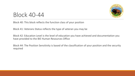

#### Block 40-44

Block 40: This block reflects the function class of your position

Block 41: Veterans Status reflects the type of veteran you may be

Block 42: Education Level is the level of education you have achieved and documentation you have provided to the BIE Human Resources Office

Block 44: The Position Sensitivity is based of the classification of your position and the security required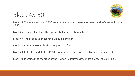

## Block 45-50

Block 45: The remarks on an SF 50 are to document all the requirements and references for the SF 50.

Block 46: This block reflects the agency that your position falls under

Block 47: The code is your agency's unique identifier

Block 48: Is your Personnel Office unique identifier

Block 49: Reflects the date the SF-50 was approved and processed by the personnel office

Block 50: Identifies the member of the Human Resources Office that processed your SF-50